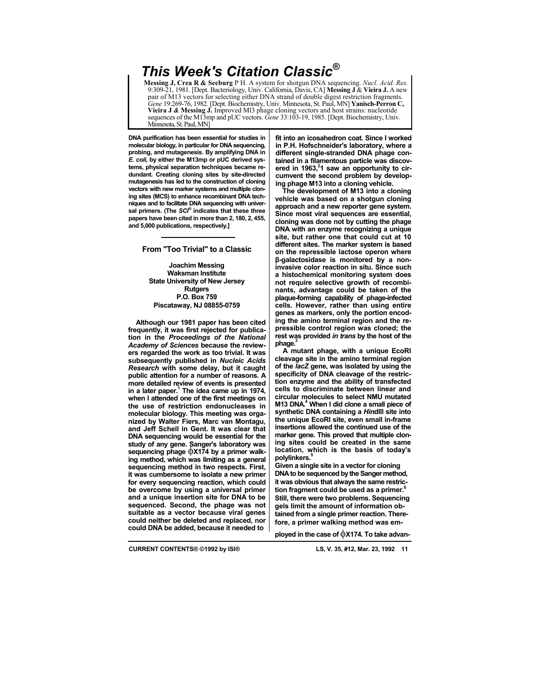## *This Week's Citation Classic®*

**Messing J, Crea R & Seeburg** P H. A system for shotgun DNA sequencing. *Nucl. Acid. Res.*  9:309-21, 1981. [Dept. Bacteriology, Univ. California, Davis, CA] **Messing J** & **Vieira J.** A new pair of M13 vectors for selecting either DNA strand of double digest restriction fragments. *Gene* 19:269-76, 1982. [Dept. Biochemistry, Univ. Minnesota, St. Paul, MN] **Yanisch-Perron C, Vieira J** *&* **Messing J.** Improved Ml3 phage cloning vectors and host strains: nucleotide sequences of the M13mp and pUC vectors. *Gene* 33:103-19, 1985. [Dept. Biochemistry, Univ. Minnesota, St. Paul, MN]

**DNA purification has been essential for studies in molecular biology, in particular for DNA sequencing, probing, and mutagenesis. By amplifying DNA in**  *E. coli,* **by either the M13mp or pUC derived systems, physical separation techniques became redundant. Creating cloning sites by site-directed mutagenesis has led to the construction of cloning vectors with new marker systems and multiple cloning sites (MCS) to enhance recombinant DNA techniques and to facilitate DNA sequencing with universal primers. (The** *SCI®* **indicates that these three papers have been cited in more than 2, 180, 2, 455, and 5,000 publications, respectively.]**

## **From "Too Trivial" to a Classic**

**Joachim Messing Waksman Institute State University of New Jersey Rutgers P.O. Box 759 Piscataway, NJ 08855-0759**

**Although our 1981 paper has been cited frequently, it was first rejected for publication in the** *Proceedings of the National Academy of Sciences* **because the reviewers regarded the work as too trivial. It was subsequently published in** *Nucleic Acids Research* **with some delay, but it caught public attention for a number of reasons. A more detailed review of events is presented**  in a later paper.<sup>1</sup> The idea came up in 1974, **when I attended one of the first meetings on the use of restriction endonucleases in molecular biology. This meeting was organized by Walter Fiers, Marc van Montagu, and Jeff Schell in Gent. It was clear that DNA sequencing would be essential for the study of any gene. Sanger's laboratory was sequencing phage** φ**X174 by a primer walking method, which was limiting as a general sequencing method in two respects. First, it was cumbersome to isolate a new primer for every sequencing reaction, which could be overcome by using a universal primer and a unique insertion site for DNA to be sequenced. Second, the phage was not suitable as a vector because viral genes could neither be deleted and replaced, nor could DNA be added, because it needed to**

**fit into an icosahedron coat. Since I worked in P.H. Hofschneider's laboratory, where a different single-stranded DNA phage contained in a filamentous particle was discov**ered in 1963,<sup>2</sup>1 saw an opportunity to cir**cumvent the second problem by developing phage M13 into a cloning vehicle.**

**The development of M13 into a cloning vehicle was based on a shotgun cloning approach and a new reporter gene system. Since most viral sequences are essential, cloning was done not by cutting the phage DNA with an enzyme recognizing a unique site, but rather one that could cut at 10 different sites. The marker system is based on the repressible lactose operon where β-galactosidase is monitored by a noninvasive color reaction in situ. Since such a histochemical monitoring system does not require selective growth of recombinants, advantage could be taken of the plaque-forming capability of phage-infected cells. However, rather than using entire genes as markers, only the portion encoding the amino terminal region and the repressible control region was cloned; the rest was provided** *in trans* **by the host of the**  phage.

**A mutant phage, with a unique EcoRI cleavage site in the amino terminal region of the** *lacZ* **gene, was isolated by using the specificity of DNA cleavage of the restriction enzyme and the ability of transfected cells to discriminate between linear and circular molecules to select NMU mutated M13 DNA.4 When I did clone a small piece of synthetic DNA containing a** *Hin***dlll site into the unique EcoRI site, even small in-frame insertions allowed the continued use of the marker gene. This proved that multiple cloning sites could be created in the same location, which is the basis of today's**  polylinkers.

**Given a single site in a vector for cloning DNA to be sequenced by the Sanger method, it was obvious that always the same restriction fragment could be used as a primer.6 Still, there were two problems. Sequencing gels limit the amount of information obtained from a single primer reaction. Therefore, a primer walking method was em-**

**ployed in the case of** φ**X174. To take advan-**